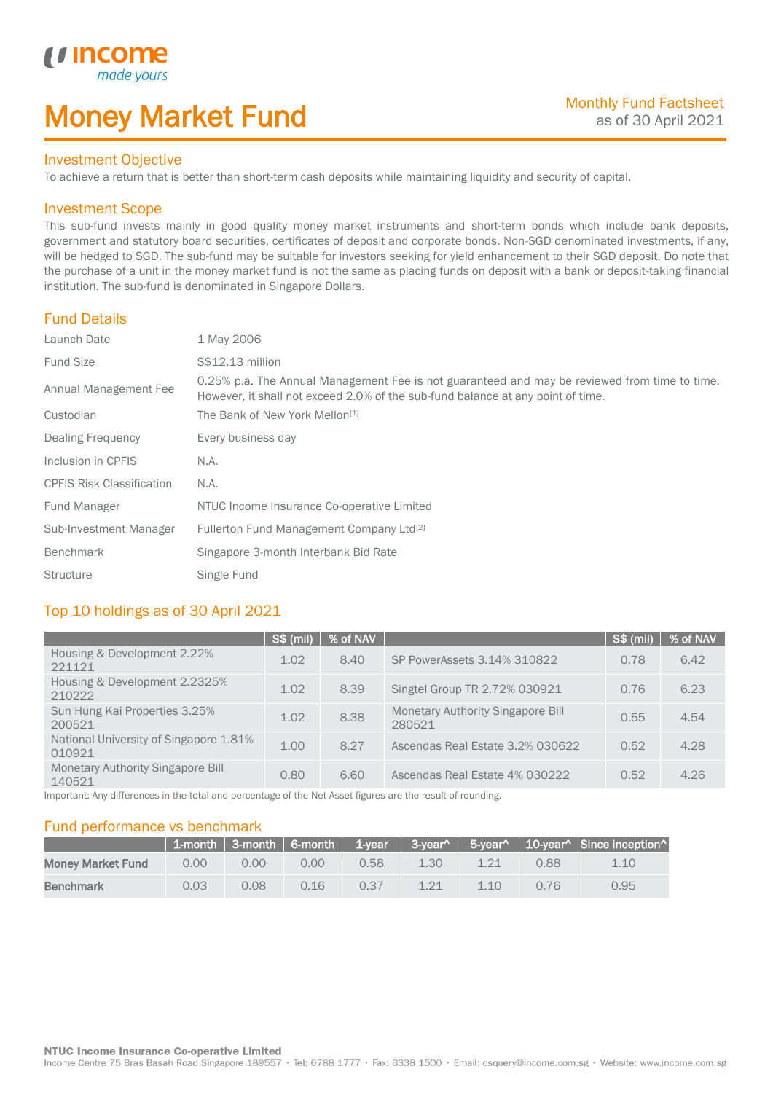## Money Market Fund

### Investment Objective

made yo

*u* incom

I

To achieve a return that is better than short-term cash deposits while maintaining liquidity and security of capital.

### Investment Scope

This sub-fund invests mainly in good quality money market instruments and short-term bonds which include bank deposits, government and statutory board securities, certificates of deposit and corporate bonds. Non-SGD denominated investments, if any, will be hedged to SGD. The sub-fund may be suitable for investors seeking for yield enhancement to their SGD deposit. Do note that the purchase of a unit in the money market fund is not the same as placing funds on deposit with a bank or deposit-taking financial institution. The sub-fund is denominated in Singapore Dollars.

### Fund Details

| Launch Date                      | 1 May 2006                                                                                                                                                                       |
|----------------------------------|----------------------------------------------------------------------------------------------------------------------------------------------------------------------------------|
| <b>Fund Size</b>                 | S\$12.13 million                                                                                                                                                                 |
| Annual Management Fee            | 0.25% p.a. The Annual Management Fee is not guaranteed and may be reviewed from time to time.<br>However, it shall not exceed 2.0% of the sub-fund balance at any point of time. |
| Custodian                        | The Bank of New York Mellon <sup>[1]</sup>                                                                                                                                       |
| Dealing Frequency                | Every business day                                                                                                                                                               |
| Inclusion in CPFIS               | N.A.                                                                                                                                                                             |
| <b>CPFIS Risk Classification</b> | N.A.                                                                                                                                                                             |
| Fund Manager                     | NTUC Income Insurance Co-operative Limited                                                                                                                                       |
| Sub-Investment Manager           | Fullerton Fund Management Company Ltd <sup>[2]</sup>                                                                                                                             |
| <b>Benchmark</b>                 | Singapore 3-month Interbank Bid Rate                                                                                                                                             |
| <b>Structure</b>                 | Single Fund                                                                                                                                                                      |

### Top 10 holdings as of 30 April 2021

|                                                    | <b>S\$ (mil)</b> | % of NAV |                                                    | $ S\$ (mil) | % of NAV |
|----------------------------------------------------|------------------|----------|----------------------------------------------------|-------------|----------|
| Housing & Development 2.22%<br>221121              | 1.02             | 8.40     | SP PowerAssets 3.14% 310822                        | 0.78        | 6.42     |
| Housing & Development 2.2325%<br>210222            | 1.02             | 8.39     | Singtel Group TR 2.72% 030921                      | 0.76        | 6.23     |
| Sun Hung Kai Properties 3.25%<br>200521            | 1.02             | 8.38     | <b>Monetary Authority Singapore Bill</b><br>280521 | 0.55        | 4.54     |
| National University of Singapore 1.81%<br>010921   | 1.00             | 8.27     | Ascendas Real Estate 3.2% 030622                   | 0.52        | 4.28     |
| <b>Monetary Authority Singapore Bill</b><br>140521 | 0.80             | 6.60     | Ascendas Real Estate 4% 030222                     | 0.52        | 4.26     |

Important: Any differences in the total and percentage of the Net Asset figures are the result of rounding.

### Fund performance vs benchmark

|                          |      |      |      |      |      |     |      | 1-month   3-month   6-month   1-year   3-year^   5-year^   10-year^   Since inception^ |
|--------------------------|------|------|------|------|------|-----|------|----------------------------------------------------------------------------------------|
| <b>Money Market Fund</b> | 0.00 | 0.00 | 0.00 | 0.58 | 1.30 |     | 0.88 | 1.10                                                                                   |
| <b>Benchmark</b>         | 0.03 | 0.08 | 0.16 | 0.37 | 1.21 | 110 | 0.76 | 0.95                                                                                   |